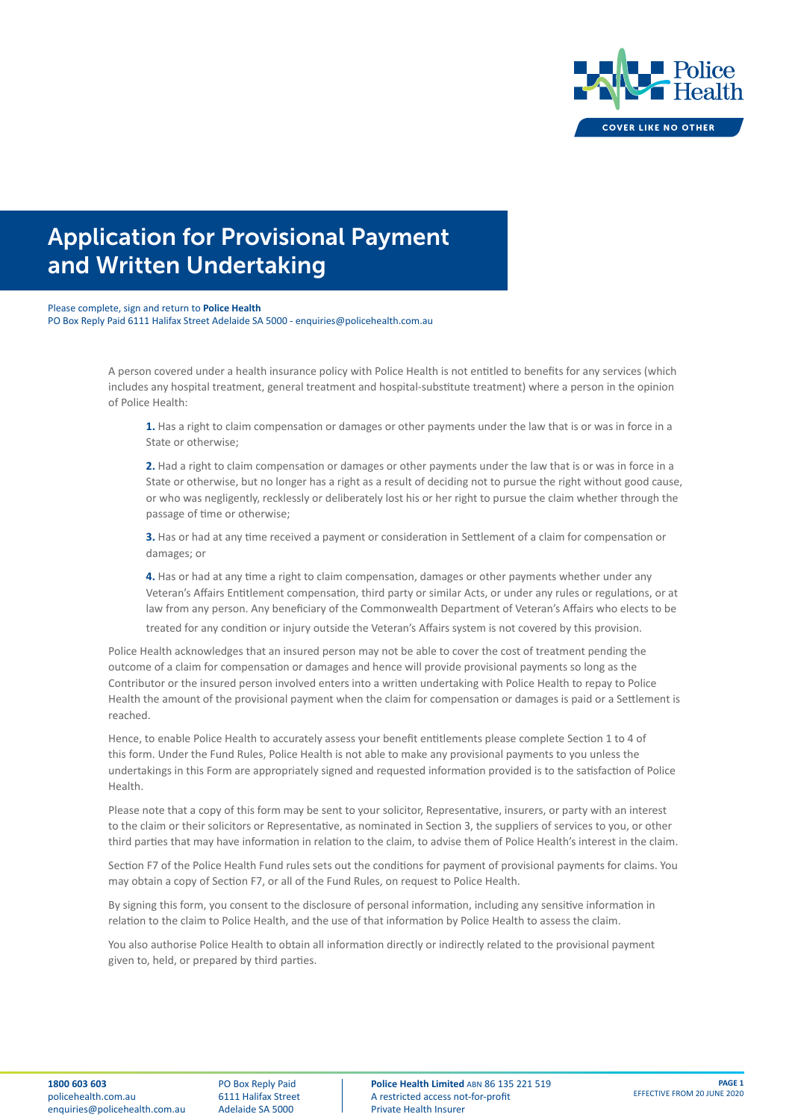

Please complete, sign and return to **Police Health** PO Box Reply Paid 6111 Halifax Street Adelaide SA 5000 - enquiries@policehealth.com.au

> A person covered under a health insurance policy with Police Health is not entitled to benefits for any services (which includes any hospital treatment, general treatment and hospital-substitute treatment) where a person in the opinion of Police Health:

**1.** Has a right to claim compensation or damages or other payments under the law that is or was in force in a State or otherwise;

**2.** Had a right to claim compensation or damages or other payments under the law that is or was in force in a State or otherwise, but no longer has a right as a result of deciding not to pursue the right without good cause, or who was negligently, recklessly or deliberately lost his or her right to pursue the claim whether through the passage of time or otherwise;

**3.** Has or had at any time received a payment or consideration in Settlement of a claim for compensation or damages; or

**4.** Has or had at any time a right to claim compensation, damages or other payments whether under any Veteran's Affairs Entitlement compensation, third party or similar Acts, or under any rules or regulations, or at law from any person. Any beneficiary of the Commonwealth Department of Veteran's Affairs who elects to be treated for any condition or injury outside the Veteran's Affairs system is not covered by this provision.

Police Health acknowledges that an insured person may not be able to cover the cost of treatment pending the outcome of a claim for compensation or damages and hence will provide provisional payments so long as the Contributor or the insured person involved enters into a written undertaking with Police Health to repay to Police Health the amount of the provisional payment when the claim for compensation or damages is paid or a Settlement is reached.

Hence, to enable Police Health to accurately assess your benefit entitlements please complete Section 1 to 4 of this form. Under the Fund Rules, Police Health is not able to make any provisional payments to you unless the undertakings in this Form are appropriately signed and requested information provided is to the satisfaction of Police Health.

Please note that a copy of this form may be sent to your solicitor, Representative, insurers, or party with an interest to the claim or their solicitors or Representative, as nominated in Section 3, the suppliers of services to you, or other third parties that may have information in relation to the claim, to advise them of Police Health's interest in the claim.

Section F7 of the Police Health Fund rules sets out the conditions for payment of provisional payments for claims. You may obtain a copy of Section F7, or all of the Fund Rules, on request to Police Health.

By signing this form, you consent to the disclosure of personal information, including any sensitive information in relation to the claim to Police Health, and the use of that information by Police Health to assess the claim.

You also authorise Police Health to obtain all information directly or indirectly related to the provisional payment given to, held, or prepared by third parties.

PO Box Reply Paid 6111 Halifax Street Adelaide SA 5000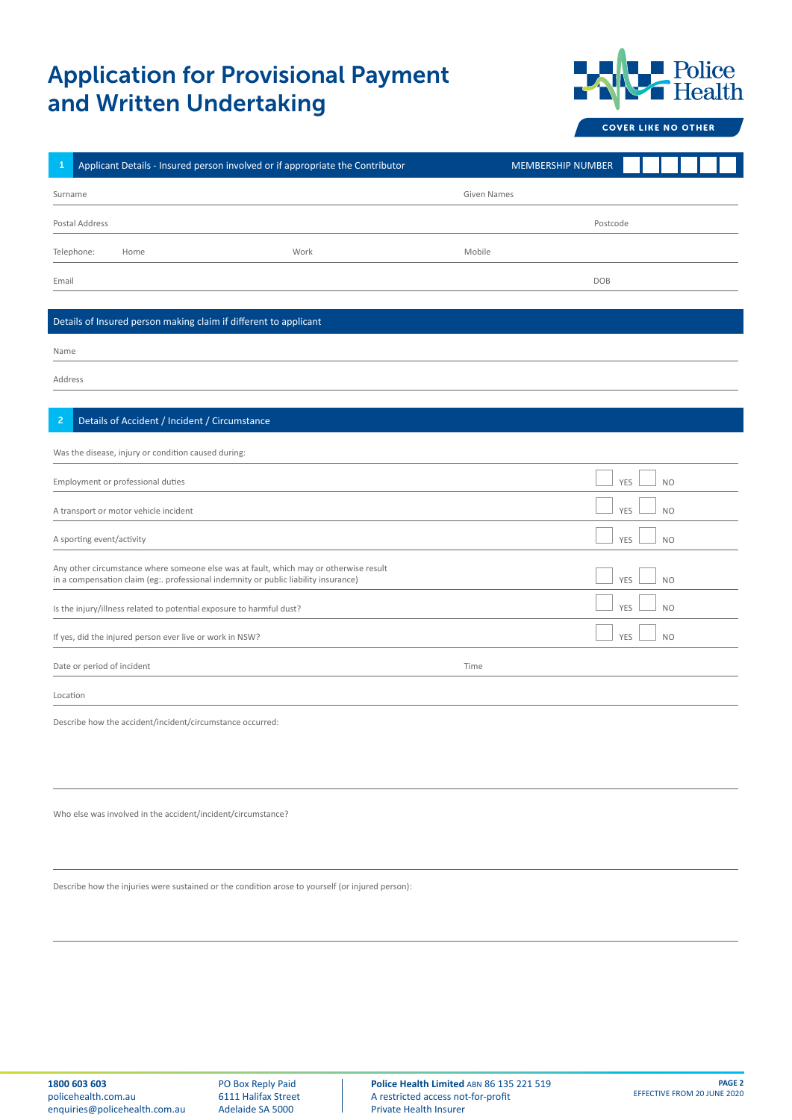

**COVER LIKE NO OTHER** 

| $\mathbf{1}$   |                                       | Applicant Details - Insured person involved or if appropriate the Contributor                                                                                                |      |                    | <b>MEMBERSHIP NUMBER</b> |            |                |  |
|----------------|---------------------------------------|------------------------------------------------------------------------------------------------------------------------------------------------------------------------------|------|--------------------|--------------------------|------------|----------------|--|
| Surname        |                                       |                                                                                                                                                                              |      | <b>Given Names</b> |                          |            |                |  |
|                | Postal Address                        |                                                                                                                                                                              |      |                    |                          | Postcode   |                |  |
| Telephone:     | Home                                  |                                                                                                                                                                              | Work | Mobile             |                          |            |                |  |
| Email          |                                       |                                                                                                                                                                              |      |                    |                          | <b>DOB</b> |                |  |
|                |                                       |                                                                                                                                                                              |      |                    |                          |            |                |  |
|                |                                       | Details of Insured person making claim if different to applicant                                                                                                             |      |                    |                          |            |                |  |
| Name           |                                       |                                                                                                                                                                              |      |                    |                          |            |                |  |
| Address        |                                       |                                                                                                                                                                              |      |                    |                          |            |                |  |
|                |                                       |                                                                                                                                                                              |      |                    |                          |            |                |  |
| $\overline{2}$ |                                       | Details of Accident / Incident / Circumstance                                                                                                                                |      |                    |                          |            |                |  |
|                |                                       | Was the disease, injury or condition caused during:                                                                                                                          |      |                    |                          |            |                |  |
|                | Employment or professional duties     |                                                                                                                                                                              |      |                    |                          | <b>YES</b> | <b>NO</b>      |  |
|                | A transport or motor vehicle incident |                                                                                                                                                                              |      |                    |                          | <b>YES</b> | <b>NO</b>      |  |
|                | A sporting event/activity             |                                                                                                                                                                              |      |                    |                          | <b>YES</b> | <b>NO</b>      |  |
|                |                                       | Any other circumstance where someone else was at fault, which may or otherwise result<br>in a compensation claim (eg:. professional indemnity or public liability insurance) |      |                    |                          | <b>YES</b> | N <sub>O</sub> |  |
|                |                                       | Is the injury/illness related to potential exposure to harmful dust?                                                                                                         |      |                    |                          | YES        | <b>NO</b>      |  |
|                |                                       | If yes, did the injured person ever live or work in NSW?                                                                                                                     |      |                    |                          | <b>YES</b> | <b>NO</b>      |  |
|                | Date or period of incident            |                                                                                                                                                                              |      | Time               |                          |            |                |  |
| Location       |                                       |                                                                                                                                                                              |      |                    |                          |            |                |  |
|                |                                       | Describe how the accident/incident/circumstance occurred:                                                                                                                    |      |                    |                          |            |                |  |

Who else was involved in the accident/incident/circumstance?

Describe how the injuries were sustained or the condition arose to yourself (or injured person):

PO Box Reply Paid 6111 Halifax Street Adelaide SA 5000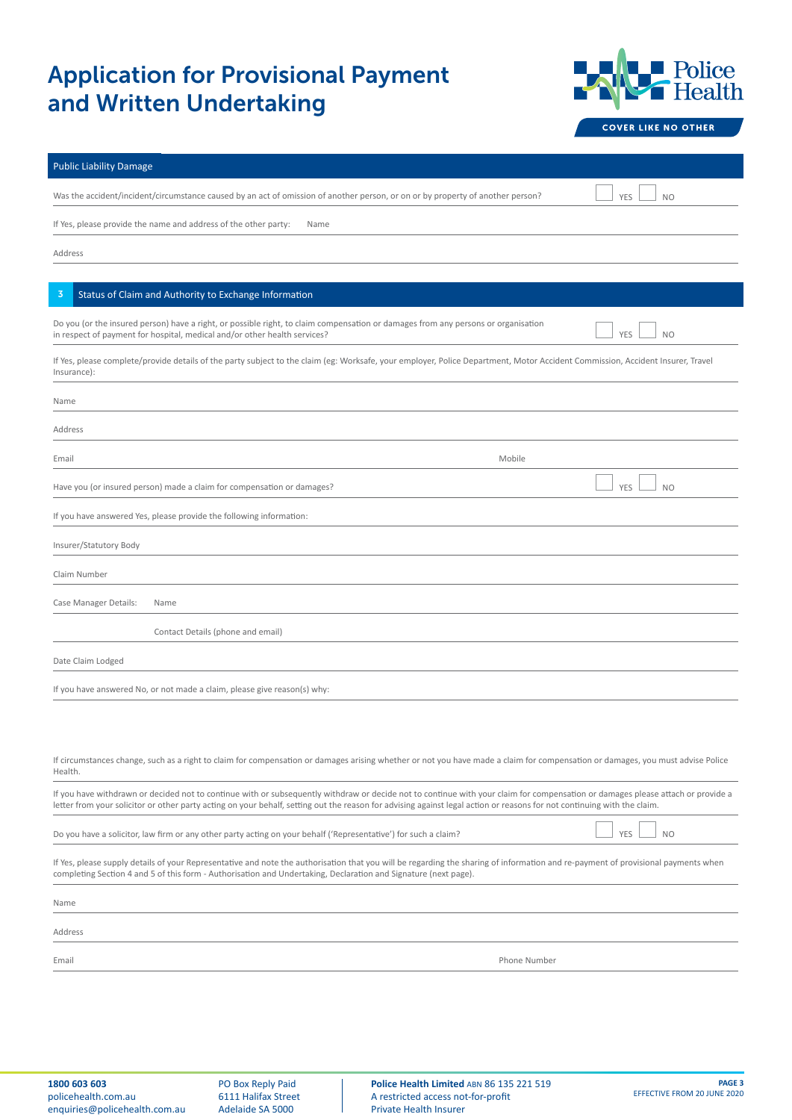

| <b>Public Liability Damage</b>                                                                                                                                                                                                                                                                                                                             |
|------------------------------------------------------------------------------------------------------------------------------------------------------------------------------------------------------------------------------------------------------------------------------------------------------------------------------------------------------------|
| Was the accident/incident/circumstance caused by an act of omission of another person, or on or by property of another person?<br><b>YES</b><br>N <sub>O</sub>                                                                                                                                                                                             |
| If Yes, please provide the name and address of the other party:<br>Name                                                                                                                                                                                                                                                                                    |
| Address                                                                                                                                                                                                                                                                                                                                                    |
|                                                                                                                                                                                                                                                                                                                                                            |
| Status of Claim and Authority to Exchange Information<br>3                                                                                                                                                                                                                                                                                                 |
| Do you (or the insured person) have a right, or possible right, to claim compensation or damages from any persons or organisation<br>in respect of payment for hospital, medical and/or other health services?<br>YES<br>N <sub>O</sub>                                                                                                                    |
| If Yes, please complete/provide details of the party subject to the claim (eg: Worksafe, your employer, Police Department, Motor Accident Commission, Accident Insurer, Travel<br>Insurance):                                                                                                                                                              |
| Name                                                                                                                                                                                                                                                                                                                                                       |
| Address                                                                                                                                                                                                                                                                                                                                                    |
| Mobile<br>Email                                                                                                                                                                                                                                                                                                                                            |
| Have you (or insured person) made a claim for compensation or damages?<br><b>YES</b><br>N <sub>O</sub>                                                                                                                                                                                                                                                     |
| If you have answered Yes, please provide the following information:                                                                                                                                                                                                                                                                                        |
| Insurer/Statutory Body                                                                                                                                                                                                                                                                                                                                     |
| Claim Number                                                                                                                                                                                                                                                                                                                                               |
| Case Manager Details:<br>Name                                                                                                                                                                                                                                                                                                                              |
| Contact Details (phone and email)                                                                                                                                                                                                                                                                                                                          |
| Date Claim Lodged                                                                                                                                                                                                                                                                                                                                          |
| If you have answered No, or not made a claim, please give reason(s) why:                                                                                                                                                                                                                                                                                   |
|                                                                                                                                                                                                                                                                                                                                                            |
|                                                                                                                                                                                                                                                                                                                                                            |
| If circumstances change, such as a right to claim for compensation or damages arising whether or not you have made a claim for compensation or damages, you must advise Police<br>Health.                                                                                                                                                                  |
| If you have withdrawn or decided not to continue with or subsequently withdraw or decide not to continue with your claim for compensation or damages please attach or provide a<br>letter from your solicitor or other party acting on your behalf, setting out the reason for advising against legal action or reasons for not continuing with the claim. |
| Do you have a solicitor, law firm or any other party acting on your behalf ('Representative') for such a claim?<br><b>NO</b><br>YES                                                                                                                                                                                                                        |
| If Yes, please supply details of your Representative and note the authorisation that you will be regarding the sharing of information and re-payment of provisional payments when<br>completing Section 4 and 5 of this form - Authorisation and Undertaking, Declaration and Signature (next page).                                                       |
| Name                                                                                                                                                                                                                                                                                                                                                       |

Address

Email Phone Number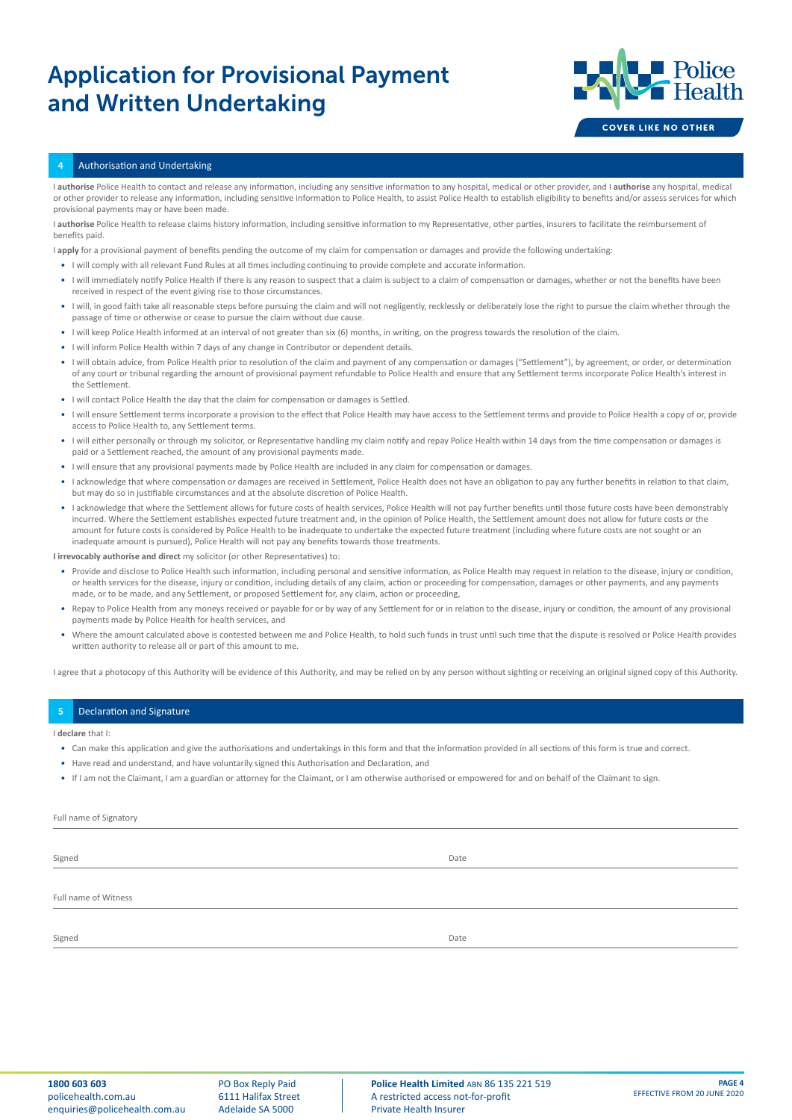

#### 4 Authorisation and Undertaking

I **authorise** Police Health to contact and release any information, including any sensitive information to any hospital, medical or other provider, and I **authorise** any hospital, medical or other provider to release any information, including sensitive information to Police Health, to assist Police Health to establish eligibility to benefits and/or assess services for which provisional payments may or have been made.

I authorise Police Health to release claims history information, including sensitive information to my Representative, other parties, insurers to facilitate the reimbursement of benefits paid.

I **apply** for a provisional payment of benefits pending the outcome of my claim for compensation or damages and provide the following undertaking:

- I will comply with all relevant Fund Rules at all times including continuing to provide complete and accurate information.
- I will immediately notify Police Health if there is any reason to suspect that a claim is subject to a claim of compensation or damages, whether or not the benefits have been received in respect of the event giving rise to those circumstances.
- I will, in good faith take all reasonable steps before pursuing the claim and will not negligently, recklessly or deliberately lose the right to pursue the claim whether through the passage of time or otherwise or cease to pursue the claim without due cause.
- I will keep Police Health informed at an interval of not greater than six (6) months, in writing, on the progress towards the resolution of the claim.
- I will inform Police Health within 7 days of any change in Contributor or dependent details.
- I will obtain advice, from Police Health prior to resolution of the claim and payment of any compensation or damages ("Settlement"), by agreement, or order, or determination of any court or tribunal regarding the amount of provisional payment refundable to Police Health and ensure that any Settlement terms incorporate Police Health's interest in the Settlement.
- I will contact Police Health the day that the claim for compensation or damages is Settled.
- I will ensure Settlement terms incorporate a provision to the effect that Police Health may have access to the Settlement terms and provide to Police Health a copy of or, provide access to Police Health to, any Settlement terms.
- I will either personally or through my solicitor, or Representative handling my claim notify and repay Police Health within 14 days from the time compensation or damages is paid or a Settlement reached, the amount of any provisional payments made.
- I will ensure that any provisional payments made by Police Health are included in any claim for compensation or damages.
- I acknowledge that where compensation or damages are received in Settlement, Police Health does not have an obligation to pay any further benefits in relation to that claim, but may do so in justifiable circumstances and at the absolute discretion of Police Health.
- I acknowledge that where the Settlement allows for future costs of health services, Police Health will not pay further benefits until those future costs have been demonstrably incurred. Where the Settlement establishes expected future treatment and, in the opinion of Police Health, the Settlement amount does not allow for future costs or the amount for future costs is considered by Police Health to be inadequate to undertake the expected future treatment (including where future costs are not sought or an inadequate amount is pursued), Police Health will not pay any benefits towards those treatments.

#### **I irrevocably authorise and direct** my solicitor (or other Representatives) to:

- Provide and disclose to Police Health such information, including personal and sensitive information, as Police Health may request in relation to the disease, injury or condition, or health services for the disease, injury or condition, including details of any claim, action or proceeding for compensation, damages or other payments, and any payments made, or to be made, and any Settlement, or proposed Settlement for, any claim, action or proceeding,
- Repay to Police Health from any moneys received or payable for or by way of any Settlement for or in relation to the disease, injury or condition, the amount of any provisional payments made by Police Health for health services, and
- Where the amount calculated above is contested between me and Police Health, to hold such funds in trust until such time that the dispute is resolved or Police Health provides written authority to release all or part of this amount to me.

I agree that a photocopy of this Authority will be evidence of this Authority, and may be relied on by any person without sighting or receiving an original signed copy of this Authority.

### Declaration and Signature

### I **declare** that I:

- Can make this application and give the authorisations and undertakings in this form and that the information provided in all sections of this form is true and correct.
- Have read and understand, and have voluntarily signed this Authorisation and Declaration, and
- If I am not the Claimant, I am a guardian or attorney for the Claimant, or I am otherwise authorised or empowered for and on behalf of the Claimant to sign.

| Full name of Signatory |      |  |
|------------------------|------|--|
|                        |      |  |
| Signed                 | Date |  |
|                        |      |  |
| Full name of Witness   |      |  |
|                        |      |  |
| Signed                 | Date |  |
|                        |      |  |